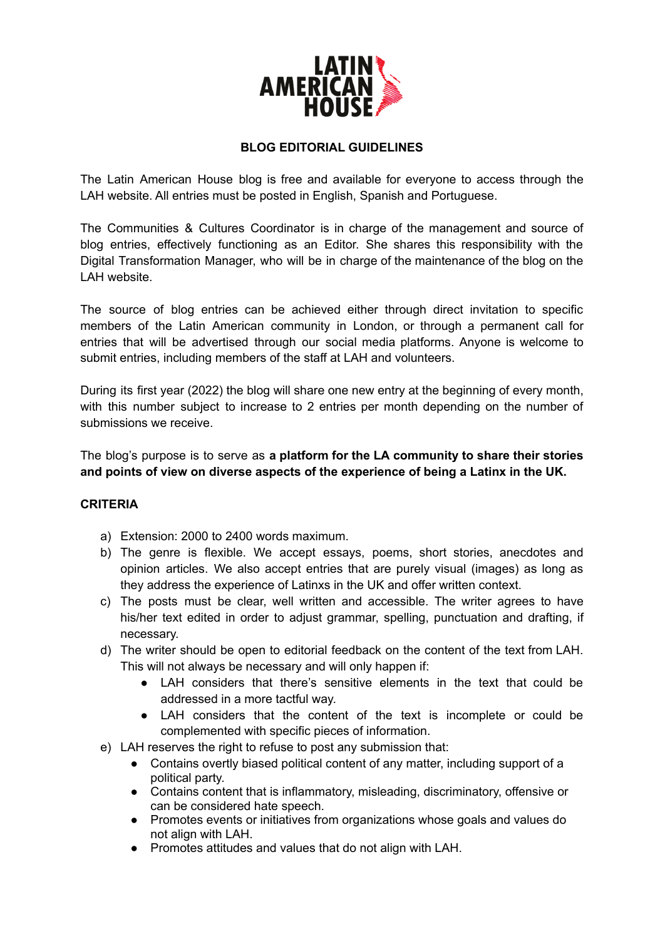

## **BLOG EDITORIAL GUIDELINES**

The Latin American House blog is free and available for everyone to access through the LAH website. All entries must be posted in English, Spanish and Portuguese.

The Communities & Cultures Coordinator is in charge of the management and source of blog entries, effectively functioning as an Editor. She shares this responsibility with the Digital Transformation Manager, who will be in charge of the maintenance of the blog on the LAH website.

The source of blog entries can be achieved either through direct invitation to specific members of the Latin American community in London, or through a permanent call for entries that will be advertised through our social media platforms. Anyone is welcome to submit entries, including members of the staff at LAH and volunteers.

During its first year (2022) the blog will share one new entry at the beginning of every month, with this number subject to increase to 2 entries per month depending on the number of submissions we receive.

The blog's purpose is to serve as **a platform for the LA community to share their stories and points of view on diverse aspects of the experience of being a Latinx in the UK.**

## **CRITERIA**

- a) Extension: 2000 to 2400 words maximum.
- b) The genre is flexible. We accept essays, poems, short stories, anecdotes and opinion articles. We also accept entries that are purely visual (images) as long as they address the experience of Latinxs in the UK and offer written context.
- c) The posts must be clear, well written and accessible. The writer agrees to have his/her text edited in order to adjust grammar, spelling, punctuation and drafting, if necessary.
- d) The writer should be open to editorial feedback on the content of the text from LAH. This will not always be necessary and will only happen if:
	- LAH considers that there's sensitive elements in the text that could be addressed in a more tactful way.
	- LAH considers that the content of the text is incomplete or could be complemented with specific pieces of information.
- e) LAH reserves the right to refuse to post any submission that:
	- Contains overtly biased political content of any matter, including support of a political party.
	- Contains content that is inflammatory, misleading, discriminatory, offensive or can be considered hate speech.
	- Promotes events or initiatives from organizations whose goals and values do not align with LAH.
	- Promotes attitudes and values that do not align with LAH.